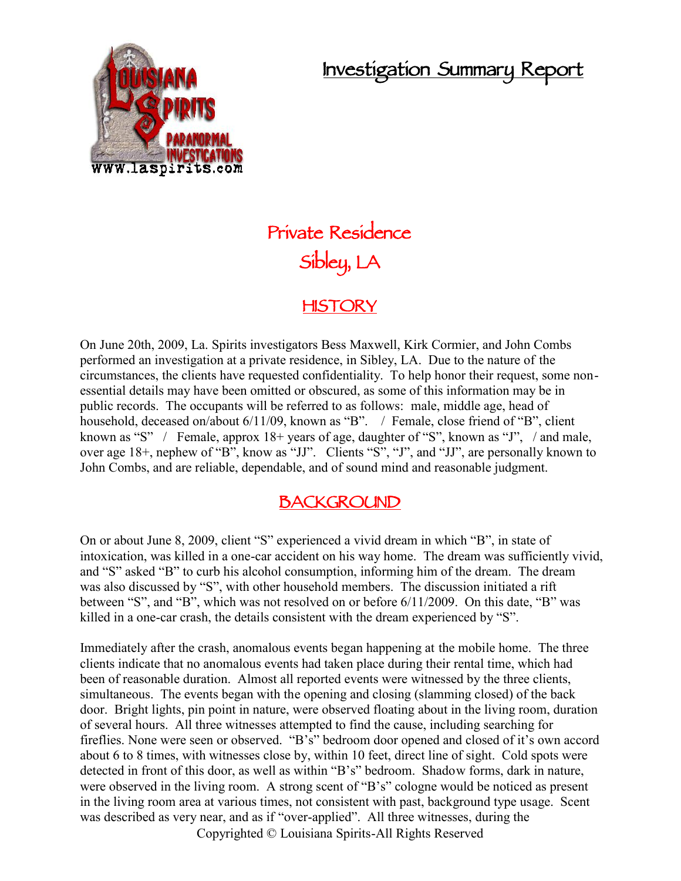# **Investigation Summary Report**



# **Private Residence Sibley, LA**

## **HISTORY**

On June 20th, 2009, La. Spirits investigators Bess Maxwell, Kirk Cormier, and John Combs performed an investigation at a private residence, in Sibley, LA. Due to the nature of the circumstances, the clients have requested confidentiality. To help honor their request, some non essential details may have been omitted or obscured, as some of this information may be in public records. The occupants will be referred to as follows: male, middle age, head of household, deceased on/about 6/11/09, known as "B". / Female, close friend of "B", client known as "S" / Female, approx 18+ years of age, daughter of "S", known as "J", / and male, over age 18+, nephew of "B", know as "JJ". Clients "S", "J", and "JJ", are personally known to John Combs, and are reliable, dependable, and of sound mind and reasonable judgment.

# **BACKGROUND**

On or about June 8, 2009, client "S" experienced a vivid dream in which "B", in state of intoxication, was killed in a one-car accident on his way home. The dream was sufficiently vivid, and "S" asked "B" to curb his alcohol consumption, informing him of the dream. The dream was also discussed by "S", with other household members. The discussion initiated a rift between "S", and "B", which was not resolved on or before 6/11/2009. On this date, "B" was killed in a one-car crash, the details consistent with the dream experienced by "S".

Immediately after the crash, anomalous events began happening at the mobile home. The three clients indicate that no anomalous events had taken place during their rental time, which had been of reasonable duration. Almost all reported events were witnessed by the three clients, simultaneous. The events began with the opening and closing (slamming closed) of the back door. Bright lights, pin point in nature, were observed floating about in the living room, duration of several hours. All three witnesses attempted to find the cause, including searching for fireflies. None were seen or observed. "B's" bedroom door opened and closed of it's own accord about 6 to 8 times, with witnesses close by, within 10 feet, direct line of sight. Cold spots were detected in front of this door, as well as within "B's" bedroom. Shadow forms, dark in nature, were observed in the living room. A strong scent of "B's" cologne would be noticed as present in the living room area at various times, not consistent with past, background type usage. Scent was described as very near, and as if "over-applied". All three witnesses, during the

Copyrighted © Louisiana Spirits-All Rights Reserved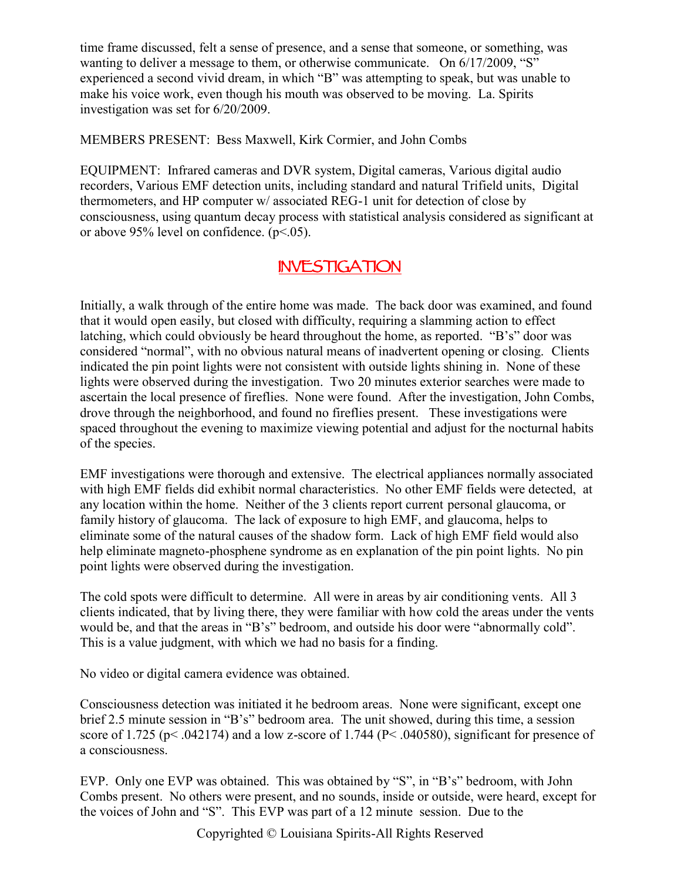time frame discussed, felt a sense of presence, and a sense that someone, or something, was wanting to deliver a message to them, or otherwise communicate. On  $6/17/2009$ , "S" experienced a second vivid dream, in which "B" was attempting to speak, but was unable to make his voice work, even though his mouth was observed to be moving. La. Spirits investigation was set for 6/20/2009.

MEMBERS PRESENT: Bess Maxwell, Kirk Cormier, and John Combs

EQUIPMENT: Infrared cameras and DVR system, Digital cameras, Various digital audio recorders, Various EMF detection units, including standard and natural Trifield units, Digital thermometers, and HP computer w/ associated REG-1 unit for detection of close by consciousness, using quantum decay process with statistical analysis considered as significant at or above 95% level on confidence.  $(p<.05)$ .

#### **INVESTIGATION**

Initially, a walk through of the entire home was made. The back door was examined, and found that it would open easily, but closed with difficulty, requiring a slamming action to effect latching, which could obviously be heard throughout the home, as reported. "B's" door was considered "normal", with no obvious natural means of inadvertent opening or closing. Clients indicated the pin point lights were not consistent with outside lights shining in. None of these lights were observed during the investigation. Two 20 minutes exterior searches were made to ascertain the local presence of fireflies. None were found. After the investigation, John Combs, drove through the neighborhood, and found no fireflies present. These investigations were spaced throughout the evening to maximize viewing potential and adjust for the nocturnal habits of the species.

EMF investigations were thorough and extensive. The electrical appliances normally associated with high EMF fields did exhibit normal characteristics. No other EMF fields were detected, at any location within the home. Neither of the 3 clients report current personal glaucoma, or family history of glaucoma. The lack of exposure to high EMF, and glaucoma, helps to eliminate some of the natural causes of the shadow form. Lack of high EMF field would also help eliminate magneto-phosphene syndrome as en explanation of the pin point lights. No pin point lights were observed during the investigation.

The cold spots were difficult to determine. All were in areas by air conditioning vents. All 3 clients indicated, that by living there, they were familiar with how cold the areas under the vents would be, and that the areas in "B's" bedroom, and outside his door were "abnormally cold". This is a value judgment, with which we had no basis for a finding.

No video or digital camera evidence was obtained.

Consciousness detection was initiated it he bedroom areas. None were significant, except one brief 2.5 minute session in "B's" bedroom area. The unit showed, during this time, a session score of 1.725 ( $p$ < .042174) and a low z-score of 1.744 ( $P$ < .040580), significant for presence of a consciousness.

EVP. Only one EVP was obtained. This was obtained by "S", in "B's" bedroom, with John Combs present. No others were present, and no sounds, inside or outside, were heard, except for the voices of John and "S". This EVP was part of a 12 minute session. Due to the

Copyrighted © Louisiana Spirits-All Rights Reserved